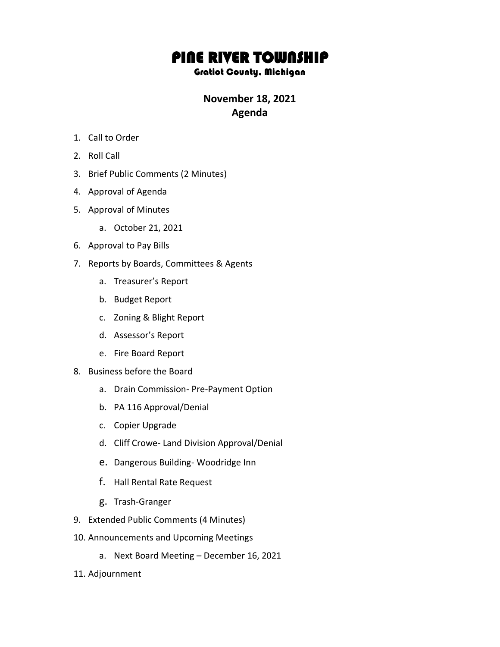## PINE RIVER TOWNSHIP

## Gratiot County, Michigan

## **November 18, 2021 Agenda**

- 1. Call to Order
- 2. Roll Call
- 3. Brief Public Comments (2 Minutes)
- 4. Approval of Agenda
- 5. Approval of Minutes
	- a. October 21, 2021
- 6. Approval to Pay Bills
- 7. Reports by Boards, Committees & Agents
	- a. Treasurer's Report
	- b. Budget Report
	- c. Zoning & Blight Report
	- d. Assessor's Report
	- e. Fire Board Report
- 8. Business before the Board
	- a. Drain Commission- Pre-Payment Option
	- b. PA 116 Approval/Denial
	- c. Copier Upgrade
	- d. Cliff Crowe- Land Division Approval/Denial
	- e. Dangerous Building- Woodridge Inn
	- f. Hall Rental Rate Request
	- g. Trash-Granger
- 9. Extended Public Comments (4 Minutes)
- 10. Announcements and Upcoming Meetings
	- a. Next Board Meeting December 16, 2021
- 11. Adjournment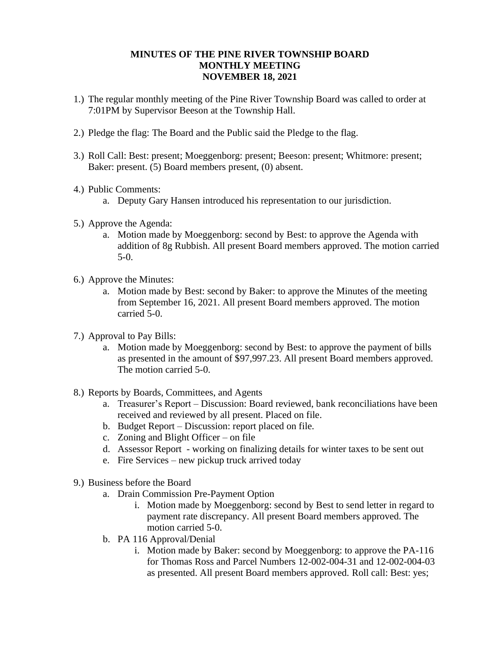## **MINUTES OF THE PINE RIVER TOWNSHIP BOARD MONTHLY MEETING NOVEMBER 18, 2021**

- 1.) The regular monthly meeting of the Pine River Township Board was called to order at 7:01PM by Supervisor Beeson at the Township Hall.
- 2.) Pledge the flag: The Board and the Public said the Pledge to the flag.
- 3.) Roll Call: Best: present; Moeggenborg: present; Beeson: present; Whitmore: present; Baker: present. (5) Board members present, (0) absent.
- 4.) Public Comments:
	- a. Deputy Gary Hansen introduced his representation to our jurisdiction.
- 5.) Approve the Agenda:
	- a. Motion made by Moeggenborg: second by Best: to approve the Agenda with addition of 8g Rubbish. All present Board members approved. The motion carried 5-0.
- 6.) Approve the Minutes:
	- a. Motion made by Best: second by Baker: to approve the Minutes of the meeting from September 16, 2021. All present Board members approved. The motion carried 5-0.
- 7.) Approval to Pay Bills:
	- a. Motion made by Moeggenborg: second by Best: to approve the payment of bills as presented in the amount of \$97,997.23. All present Board members approved. The motion carried 5-0.
- 8.) Reports by Boards, Committees, and Agents
	- a. Treasurer's Report Discussion: Board reviewed, bank reconciliations have been received and reviewed by all present. Placed on file.
	- b. Budget Report Discussion: report placed on file.
	- c. Zoning and Blight Officer on file
	- d. Assessor Report working on finalizing details for winter taxes to be sent out
	- e. Fire Services new pickup truck arrived today
- 9.) Business before the Board
	- a. Drain Commission Pre-Payment Option
		- i. Motion made by Moeggenborg: second by Best to send letter in regard to payment rate discrepancy. All present Board members approved. The motion carried 5-0.
	- b. PA 116 Approval/Denial
		- i. Motion made by Baker: second by Moeggenborg: to approve the PA-116 for Thomas Ross and Parcel Numbers 12-002-004-31 and 12-002-004-03 as presented. All present Board members approved. Roll call: Best: yes;